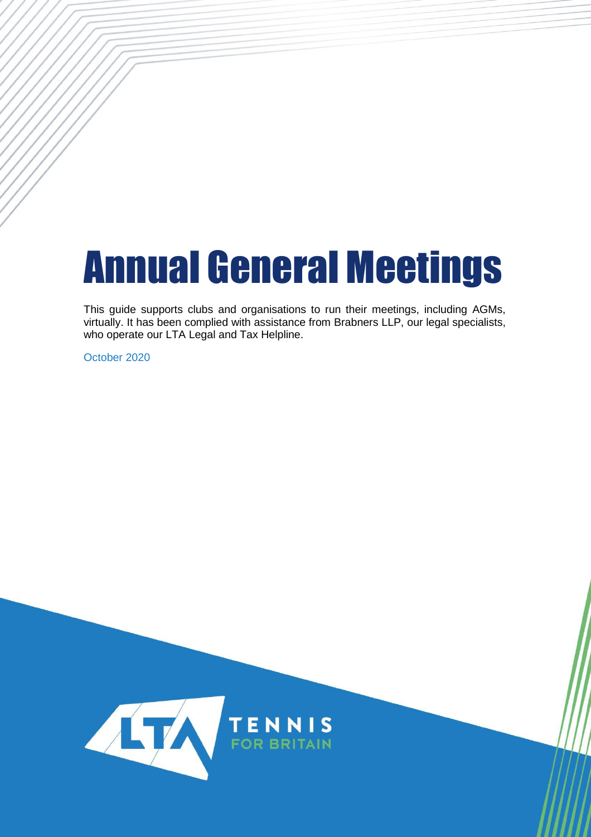# Annual General Meetings

This guide supports clubs and organisations to run their meetings, including AGMs, virtually. It has been complied with assistance from Brabners LLP, our legal specialists, who operate our LTA Legal and Tax Helpline.

October 2020

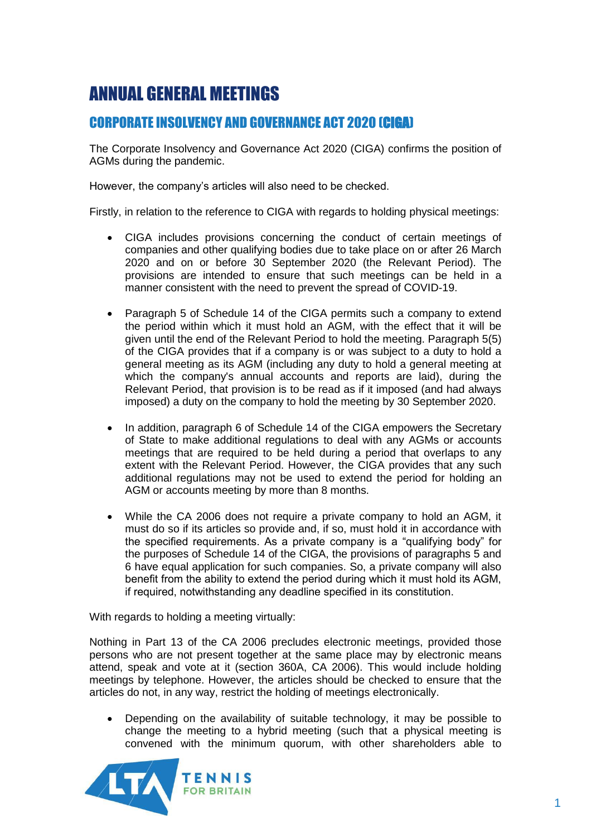# ANNUAL GENERAL MEETINGS

## CORPORATE INSOLVENCY AND GOVERNANCE ACT 2020 (CIGA)

The Corporate Insolvency and Governance Act 2020 (CIGA) confirms the position of AGMs during the pandemic.

However, the company's articles will also need to be checked.

Firstly, in relation to the reference to CIGA with regards to holding physical meetings:

- CIGA includes provisions concerning the conduct of certain meetings of companies and other qualifying bodies due to take place on or after 26 March 2020 and on or before 30 September 2020 (the Relevant Period). The provisions are intended to ensure that such meetings can be held in a manner consistent with the need to prevent the spread of COVID-19.
- Paragraph 5 of Schedule 14 of the CIGA permits such a company to extend the period within which it must hold an AGM, with the effect that it will be given until the end of the Relevant Period to hold the meeting. Paragraph 5(5) of the CIGA provides that if a company is or was subject to a duty to hold a general meeting as its AGM (including any duty to hold a general meeting at which the company's annual accounts and reports are laid), during the Relevant Period, that provision is to be read as if it imposed (and had always imposed) a duty on the company to hold the meeting by 30 September 2020.
- In addition, paragraph 6 of Schedule 14 of the CIGA empowers the Secretary of State to make additional regulations to deal with any AGMs or accounts meetings that are required to be held during a period that overlaps to any extent with the Relevant Period. However, the CIGA provides that any such additional regulations may not be used to extend the period for holding an AGM or accounts meeting by more than 8 months.
- While the CA 2006 does not require a private company to hold an AGM, it must do so if its articles so provide and, if so, must hold it in accordance with the specified requirements. As a private company is a "qualifying body" for the purposes of Schedule 14 of the CIGA, the provisions of paragraphs 5 and 6 have equal application for such companies. So, a private company will also benefit from the ability to extend the period during which it must hold its AGM, if required, notwithstanding any deadline specified in its constitution.

With regards to holding a meeting virtually:

Nothing in Part 13 of the CA 2006 precludes electronic meetings, provided those persons who are not present together at the same place may by electronic means attend, speak and vote at it (section 360A, CA 2006). This would include holding meetings by telephone. However, the articles should be checked to ensure that the articles do not, in any way, restrict the holding of meetings electronically.

 Depending on the availability of suitable technology, it may be possible to change the meeting to a hybrid meeting (such that a physical meeting is convened with the minimum quorum, with other shareholders able to